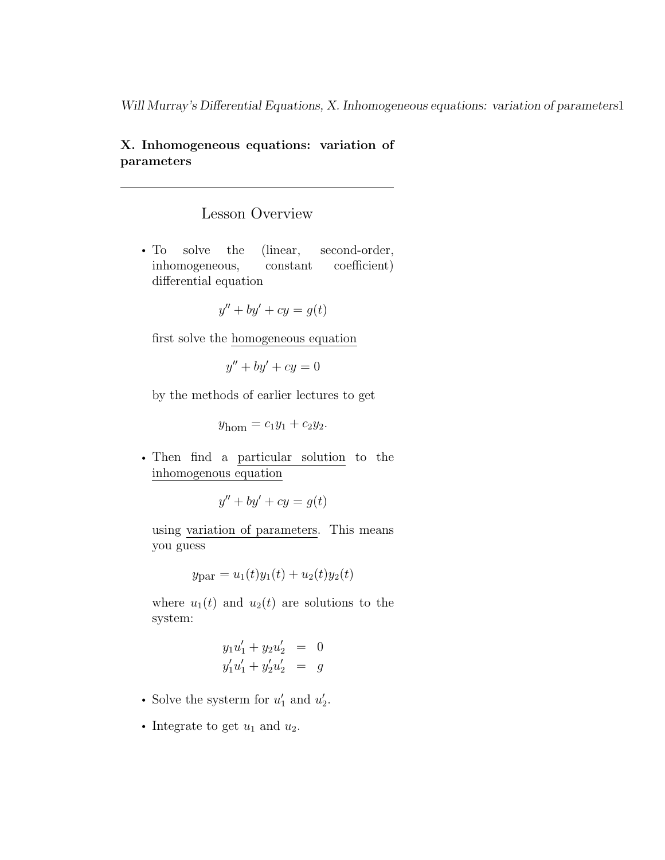#### X. Inhomogeneous equations: variation of parameters

#### Lesson Overview

• To solve the (linear, second-order, inhomogeneous, constant coefficient) differential equation

$$
y'' + by' + cy = g(t)
$$

first solve the homogeneous equation

$$
y'' + by' + cy = 0
$$

by the methods of earlier lectures to get

 $y_{\text{hom}} = c_1 y_1 + c_2 y_2.$ 

• Then find a particular solution to the inhomogenous equation

$$
y'' + by' + cy = g(t)
$$

using variation of parameters. This means you guess

 $y_{\text{par}} = u_1(t)y_1(t) + u_2(t)y_2(t)$ 

where  $u_1(t)$  and  $u_2(t)$  are solutions to the system:

$$
y_1u'_1 + y_2u'_2 = 0
$$
  

$$
y'_1u'_1 + y'_2u'_2 = g
$$

- Solve the system for  $u'_1$  and  $u'_2$ .
- Integrate to get  $u_1$  and  $u_2$ .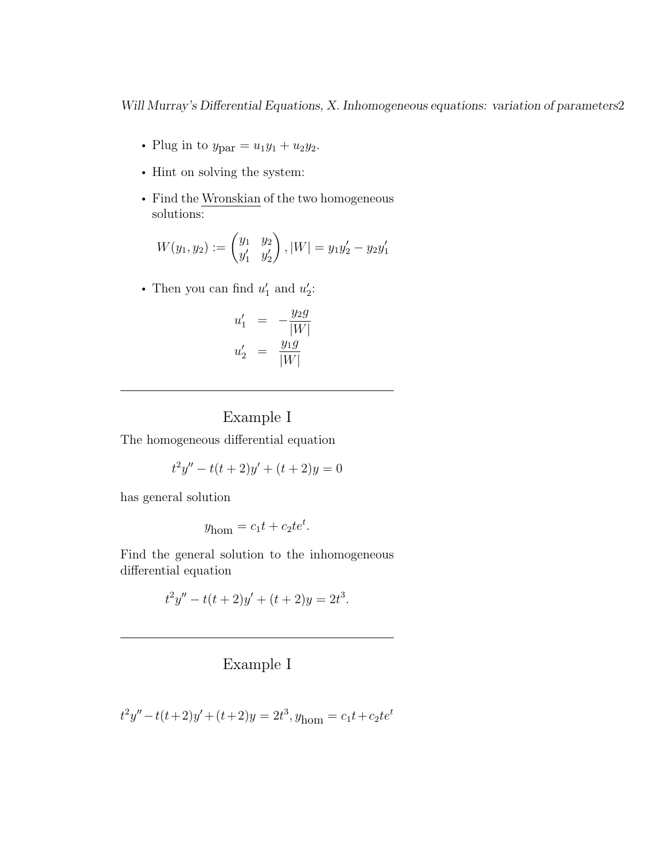- Plug in to  $y_{\text{par}} = u_1 y_1 + u_2 y_2$ .
- Hint on solving the system:
- Find the Wronskian of the two homogeneous solutions:

$$
W(y_1, y_2) := \begin{pmatrix} y_1 & y_2 \ y'_1 & y'_2 \end{pmatrix}, |W| = y_1 y'_2 - y_2 y'_1
$$

• Then you can find  $u'_1$  and  $u'_2$ :

$$
u'_1 = -\frac{y_2 g}{|W|} u'_2 = \frac{y_1 g}{|W|}
$$

#### Example I

The homogeneous differential equation

$$
t^2y'' - t(t+2)y' + (t+2)y = 0
$$

has general solution

$$
y_{\text{hom}} = c_1 t + c_2 t e^t.
$$

Find the general solution to the inhomogeneous differential equation

$$
t2y'' - t(t+2)y' + (t+2)y = 2t3.
$$

### Example I

$$
t2y'' - t(t+2)y' + (t+2)y = 2t3, yhom = c1t + c2tet
$$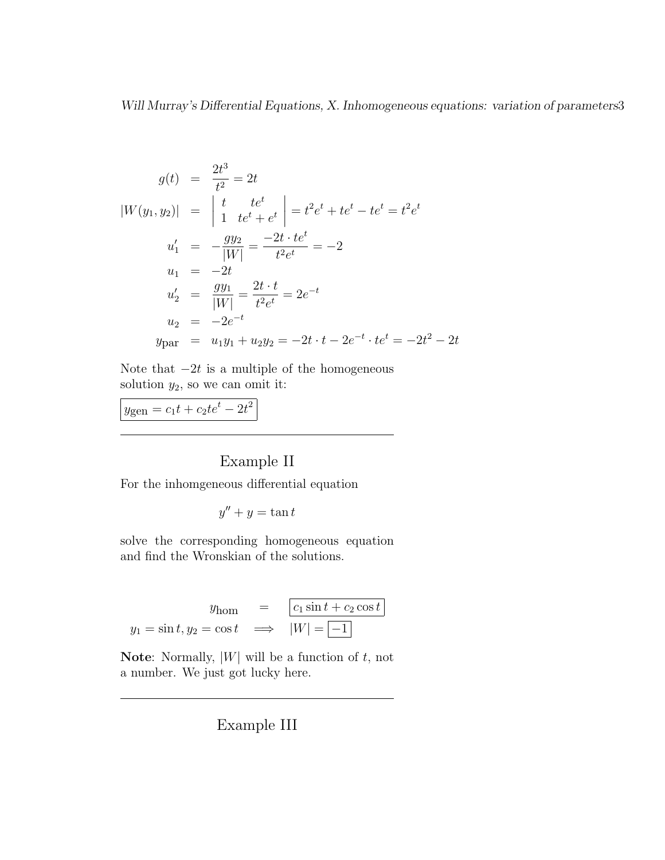$$
g(t) = \frac{2t^3}{t^2} = 2t
$$
  
\n
$$
|W(y_1, y_2)| = \begin{vmatrix} t & te^t \\ 1 & te^t + e^t \end{vmatrix} = t^2e^t + te^t - te^t = t^2e^t
$$
  
\n
$$
u'_1 = -\frac{gy_2}{|W|} = \frac{-2t \cdot te^t}{t^2e^t} = -2
$$
  
\n
$$
u_1 = -2t
$$
  
\n
$$
u'_2 = \frac{gy_1}{|W|} = \frac{2t \cdot t}{t^2e^t} = 2e^{-t}
$$
  
\n
$$
u_2 = -2e^{-t}
$$
  
\n
$$
y_{\text{par}} = u_1y_1 + u_2y_2 = -2t \cdot t - 2e^{-t} \cdot te^t = -2t^2 - 2t
$$

Note that  $-2t$  is a multiple of the homogeneous solution  $y_2$ , so we can omit it:

 $y_{\text{gen}} = c_1 t + c_2 t e^t - 2t^2$ 

### Example II

For the inhomgeneous differential equation

$$
y'' + y = \tan t
$$

solve the corresponding homogeneous equation and find the Wronskian of the solutions.

$$
y_{\text{hom}} = \boxed{c_1 \sin t + c_2 \cos t}
$$

$$
y_1 = \sin t, y_2 = \cos t \implies |W| = \boxed{-1}
$$

**Note:** Normally,  $|W|$  will be a function of  $t$ , not a number. We just got lucky here.

Example III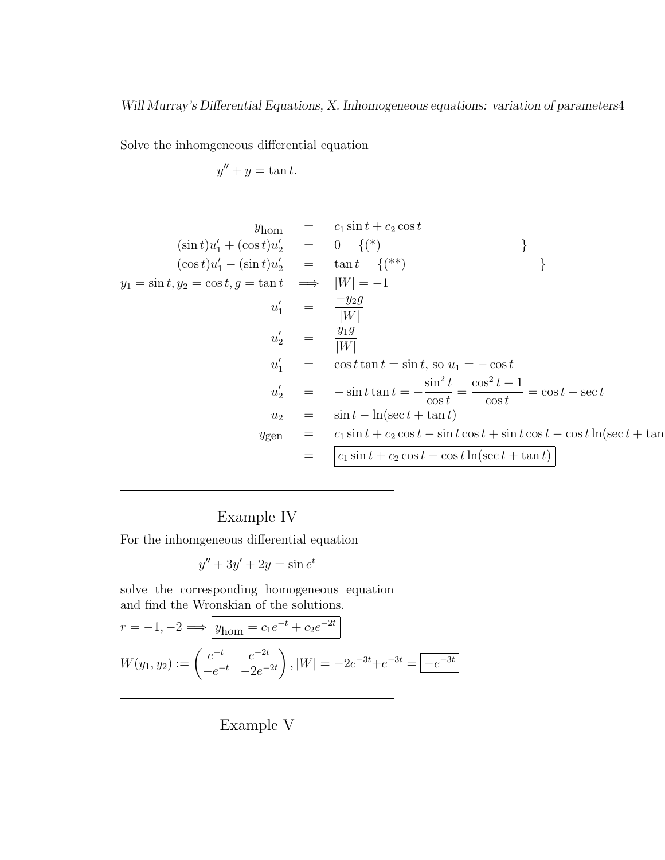Solve the inhomgeneous differential equation

$$
y'' + y = \tan t.
$$

$$
y_{\text{hom}} = c_1 \sin t + c_2 \cos t
$$
  
\n
$$
(\sin t)u'_1 + (\cos t)u'_2 = 0 \quad \{({}^{*}\})
$$
  
\n
$$
(\cos t)u'_1 - (\sin t)u'_2 = \tan t \quad \{({}^{**}\})
$$
  
\n
$$
y_1 = \sin t, y_2 = \cos t, g = \tan t \implies |W| = -1
$$
  
\n
$$
u'_1 = \frac{-y_2g}{|W|}
$$
  
\n
$$
u'_2 = \frac{y_1g}{|W|}
$$
  
\n
$$
u'_1 = \cos t \tan t = \sin t, \text{ so } u_1 = -\cos t
$$
  
\n
$$
u'_2 = -\sin t \tan t = -\frac{\sin^2 t}{\cos t} = \frac{\cos^2 t - 1}{\cos t} = \cos t - \sec t
$$
  
\n
$$
u_2 = \sin t - \ln(\sec t + \tan t)
$$
  
\n
$$
y_{\text{gen}} = c_1 \sin t + c_2 \cos t - \sin t \cos t + \sin t \cos t - \cos t \ln(\sec t + \tan t)
$$
  
\n
$$
= \boxed{c_1 \sin t + c_2 \cos t - \cos t \ln(\sec t + \tan t)}
$$

# Example IV

For the inhomgeneous differential equation

$$
y'' + 3y' + 2y = \sin e^t
$$

solve the corresponding homogeneous equation and find the Wronskian of the solutions.

$$
r = -1, -2 \Longrightarrow \boxed{y_{\text{hom}} = c_1 e^{-t} + c_2 e^{-2t}}
$$

$$
W(y_1, y_2) := \begin{pmatrix} e^{-t} & e^{-2t} \\ -e^{-t} & -2e^{-2t} \end{pmatrix}, |W| = -2e^{-3t} + e^{-3t} = \boxed{-e^{-3t}}
$$

Example V